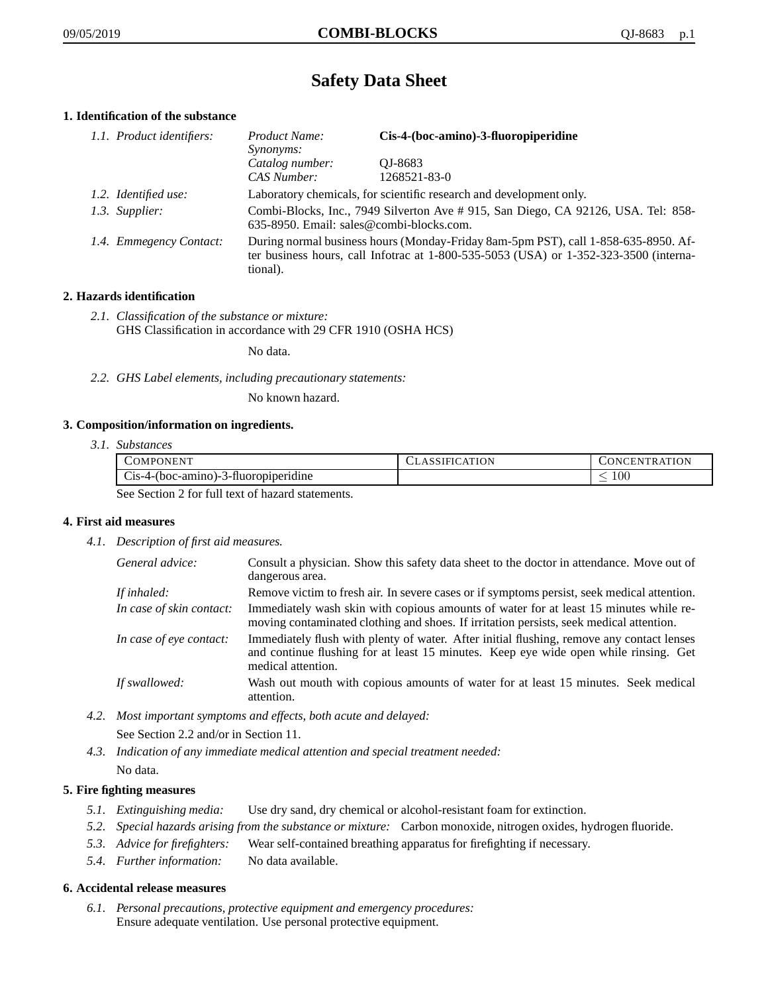# **Safety Data Sheet**

# **1. Identification of the substance**

| 1.1. Product identifiers: | Product Name:<br><i>Synonyms:</i>                                                                                                                                                           | Cis-4-(boc-amino)-3-fluoropiperidine |
|---------------------------|---------------------------------------------------------------------------------------------------------------------------------------------------------------------------------------------|--------------------------------------|
|                           | Catalog number:<br>CAS Number:                                                                                                                                                              | OJ-8683<br>1268521-83-0              |
| 1.2. Identified use:      | Laboratory chemicals, for scientific research and development only.                                                                                                                         |                                      |
| 1.3. Supplier:            | Combi-Blocks, Inc., 7949 Silverton Ave # 915, San Diego, CA 92126, USA. Tel: 858-<br>635-8950. Email: sales@combi-blocks.com.                                                               |                                      |
| 1.4. Emmegency Contact:   | During normal business hours (Monday-Friday 8am-5pm PST), call 1-858-635-8950. Af-<br>ter business hours, call Infotrac at $1-800-535-5053$ (USA) or $1-352-323-3500$ (interna-<br>tional). |                                      |

## **2. Hazards identification**

*2.1. Classification of the substance or mixture:* GHS Classification in accordance with 29 CFR 1910 (OSHA HCS)

No data.

*2.2. GHS Label elements, including precautionary statements:*

No known hazard.

## **3. Composition/information on ingredients.**

*3.1. Substances*

| COMPONENT                                        | LASSIFICATION | CONCENTRATION |
|--------------------------------------------------|---------------|---------------|
| $Cis-4-(boc-amino)-3-fluoropiperidine$           |               | 100           |
| See Section 2 for full tout of here at estaments |               |               |

See Section 2 for full text of hazard statements.

## **4. First aid measures**

*4.1. Description of first aid measures.*

| General advice:          | Consult a physician. Show this safety data sheet to the doctor in attendance. Move out of<br>dangerous area.                                                                                            |
|--------------------------|---------------------------------------------------------------------------------------------------------------------------------------------------------------------------------------------------------|
| If inhaled:              | Remove victim to fresh air. In severe cases or if symptoms persist, seek medical attention.                                                                                                             |
| In case of skin contact: | Immediately wash skin with copious amounts of water for at least 15 minutes while re-<br>moving contaminated clothing and shoes. If irritation persists, seek medical attention.                        |
| In case of eye contact:  | Immediately flush with plenty of water. After initial flushing, remove any contact lenses<br>and continue flushing for at least 15 minutes. Keep eye wide open while rinsing. Get<br>medical attention. |
| If swallowed:            | Wash out mouth with copious amounts of water for at least 15 minutes. Seek medical<br>attention.                                                                                                        |

*4.2. Most important symptoms and effects, both acute and delayed:*

See Section 2.2 and/or in Section 11.

*4.3. Indication of any immediate medical attention and special treatment needed:* No data.

# **5. Fire fighting measures**

- *5.1. Extinguishing media:* Use dry sand, dry chemical or alcohol-resistant foam for extinction.
- *5.2. Special hazards arising from the substance or mixture:* Carbon monoxide, nitrogen oxides, hydrogen fluoride.
- *5.3. Advice for firefighters:* Wear self-contained breathing apparatus for firefighting if necessary.
- *5.4. Further information:* No data available.

## **6. Accidental release measures**

*6.1. Personal precautions, protective equipment and emergency procedures:* Ensure adequate ventilation. Use personal protective equipment.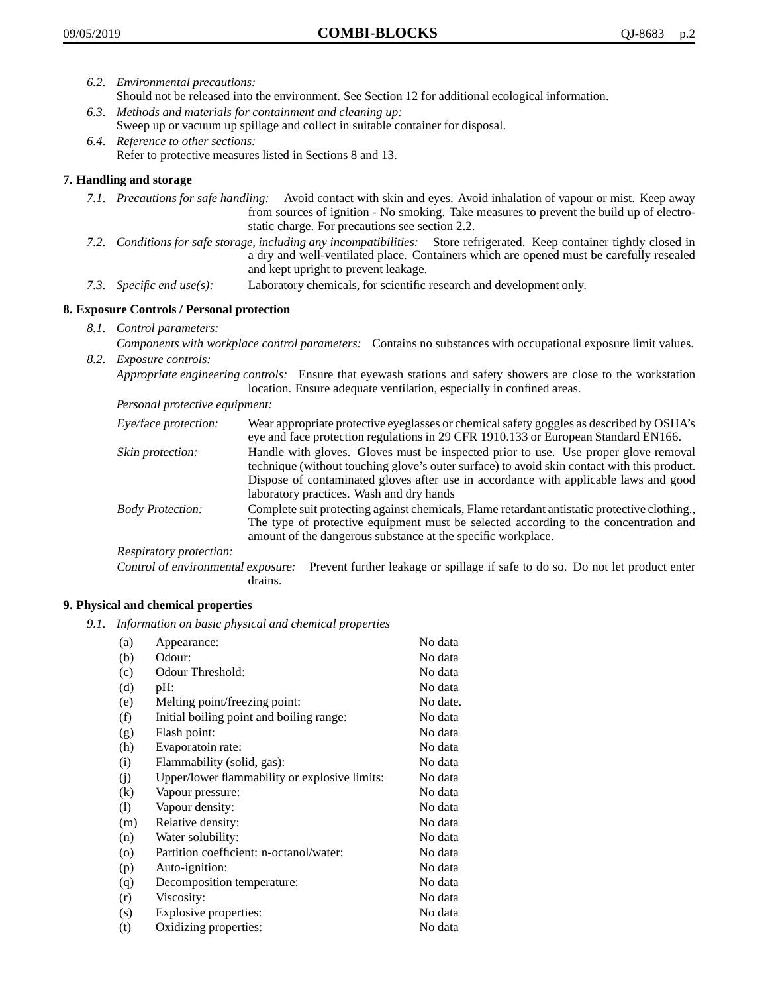- *6.2. Environmental precautions:*
	- Should not be released into the environment. See Section 12 for additional ecological information.
- *6.3. Methods and materials for containment and cleaning up:* Sweep up or vacuum up spillage and collect in suitable container for disposal.
- *6.4. Reference to other sections:* Refer to protective measures listed in Sections 8 and 13.

## **7. Handling and storage**

- *7.1. Precautions for safe handling:* Avoid contact with skin and eyes. Avoid inhalation of vapour or mist. Keep away from sources of ignition - No smoking. Take measures to prevent the build up of electrostatic charge. For precautions see section 2.2.
- *7.2. Conditions for safe storage, including any incompatibilities:* Store refrigerated. Keep container tightly closed in a dry and well-ventilated place. Containers which are opened must be carefully resealed and kept upright to prevent leakage.
- *7.3. Specific end use(s):* Laboratory chemicals, for scientific research and development only.

## **8. Exposure Controls / Personal protection**

- *8.1. Control parameters:*
- *Components with workplace control parameters:* Contains no substances with occupational exposure limit values. *8.2. Exposure controls:*

*Appropriate engineering controls:* Ensure that eyewash stations and safety showers are close to the workstation location. Ensure adequate ventilation, especially in confined areas.

*Personal protective equipment:*

| Eye/face protection:    | Wear appropriate protective eyeglasses or chemical safety goggles as described by OSHA's<br>eye and face protection regulations in 29 CFR 1910.133 or European Standard EN166.                                                                                                                                         |
|-------------------------|------------------------------------------------------------------------------------------------------------------------------------------------------------------------------------------------------------------------------------------------------------------------------------------------------------------------|
| Skin protection:        | Handle with gloves. Gloves must be inspected prior to use. Use proper glove removal<br>technique (without touching glove's outer surface) to avoid skin contact with this product.<br>Dispose of contaminated gloves after use in accordance with applicable laws and good<br>laboratory practices. Wash and dry hands |
| <b>Body Protection:</b> | Complete suit protecting against chemicals, Flame retardant antistatic protective clothing.,<br>The type of protective equipment must be selected according to the concentration and<br>amount of the dangerous substance at the specific workplace.                                                                   |
| Respiratory protection: |                                                                                                                                                                                                                                                                                                                        |

Control of environmental exposure: Prevent further leakage or spillage if safe to do so. Do not let product enter drains.

## **9. Physical and chemical properties**

*9.1. Information on basic physical and chemical properties*

| (a)     | Appearance:                                   | No data  |
|---------|-----------------------------------------------|----------|
| (b)     | Odour:                                        | No data  |
| (c)     | Odour Threshold:                              | No data  |
| (d)     | pH:                                           | No data  |
| (e)     | Melting point/freezing point:                 | No date. |
| (f)     | Initial boiling point and boiling range:      | No data  |
| (g)     | Flash point:                                  | No data  |
| (h)     | Evaporatoin rate:                             | No data  |
| (i)     | Flammability (solid, gas):                    | No data  |
| (j)     | Upper/lower flammability or explosive limits: | No data  |
| (k)     | Vapour pressure:                              | No data  |
| (1)     | Vapour density:                               | No data  |
| (m)     | Relative density:                             | No data  |
| (n)     | Water solubility:                             | No data  |
| $\circ$ | Partition coefficient: n-octanol/water:       | No data  |
| (p)     | Auto-ignition:                                | No data  |
| (q)     | Decomposition temperature:                    | No data  |
| (r)     | Viscosity:                                    | No data  |
| (s)     | Explosive properties:                         | No data  |
| (t)     | Oxidizing properties:                         | No data  |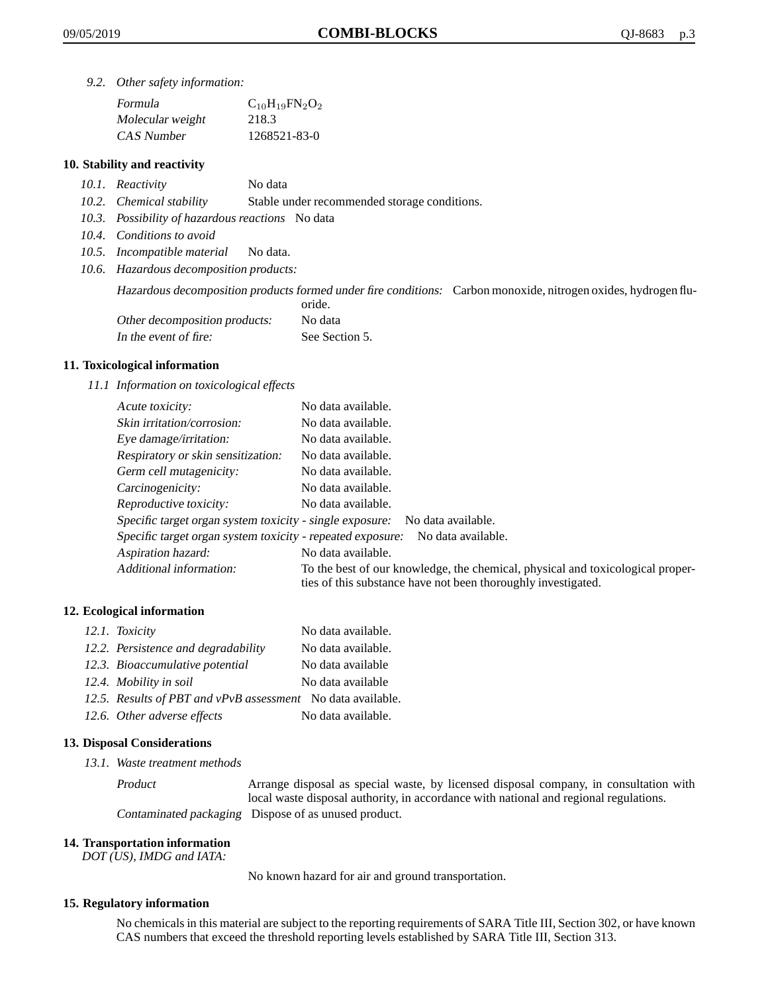*9.2. Other safety information:*

| Formula          | $C_{10}H_{19}FN_{2}O_{2}$ |
|------------------|---------------------------|
| Molecular weight | 218.3                     |
| CAS Number       | 1268521-83-0              |

## **10. Stability and reactivity**

- *10.1. Reactivity* No data
- *10.2. Chemical stability* Stable under recommended storage conditions.
- *10.3. Possibility of hazardous reactions* No data
- *10.4. Conditions to avoid*
- *10.5. Incompatible material* No data.
- *10.6. Hazardous decomposition products:*

Hazardous decomposition products formed under fire conditions: Carbon monoxide, nitrogen oxides, hydrogen flu-

|                               | oride.         |
|-------------------------------|----------------|
| Other decomposition products: | No data        |
| In the event of fire:         | See Section 5. |

## **11. Toxicological information**

*11.1 Information on toxicological effects*

| Acute toxicity:                                                                  | No data available.                                                                                                                              |  |
|----------------------------------------------------------------------------------|-------------------------------------------------------------------------------------------------------------------------------------------------|--|
| Skin irritation/corrosion:                                                       | No data available.                                                                                                                              |  |
| Eye damage/irritation:                                                           | No data available.                                                                                                                              |  |
| Respiratory or skin sensitization:                                               | No data available.                                                                                                                              |  |
| Germ cell mutagenicity:                                                          | No data available.                                                                                                                              |  |
| Carcinogenicity:                                                                 | No data available.                                                                                                                              |  |
| Reproductive toxicity:                                                           | No data available.                                                                                                                              |  |
| Specific target organ system toxicity - single exposure:<br>No data available.   |                                                                                                                                                 |  |
| Specific target organ system toxicity - repeated exposure:<br>No data available. |                                                                                                                                                 |  |
| Aspiration hazard:                                                               | No data available.                                                                                                                              |  |
| Additional information:                                                          | To the best of our knowledge, the chemical, physical and toxicological proper-<br>ties of this substance have not been thoroughly investigated. |  |

## **12. Ecological information**

| 12.1. Toxicity                                              | No data available. |
|-------------------------------------------------------------|--------------------|
| 12.2. Persistence and degradability                         | No data available. |
| 12.3. Bioaccumulative potential                             | No data available  |
| 12.4. Mobility in soil                                      | No data available  |
| 12.5. Results of PBT and vPvB assessment No data available. |                    |
| 12.6. Other adverse effects                                 | No data available. |

#### **13. Disposal Considerations**

*13.1. Waste treatment methods*

Product Arrange disposal as special waste, by licensed disposal company, in consultation with local waste disposal authority, in accordance with national and regional regulations. Contaminated packaging Dispose of as unused product.

#### **14. Transportation information**

*DOT (US), IMDG and IATA:*

No known hazard for air and ground transportation.

#### **15. Regulatory information**

No chemicals in this material are subject to the reporting requirements of SARA Title III, Section 302, or have known CAS numbers that exceed the threshold reporting levels established by SARA Title III, Section 313.